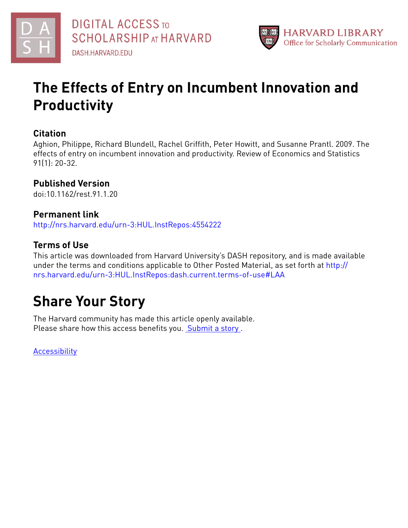



## **The Effects of Entry on Incumbent Innovation and Productivity**

### **Citation**

Aghion, Philippe, Richard Blundell, Rachel Griffith, Peter Howitt, and Susanne Prantl. 2009. The effects of entry on incumbent innovation and productivity. Review of Economics and Statistics 91(1): 20-32.

## **Published Version**

doi:10.1162/rest.91.1.20

### **Permanent link**

<http://nrs.harvard.edu/urn-3:HUL.InstRepos:4554222>

### **Terms of Use**

This article was downloaded from Harvard University's DASH repository, and is made available under the terms and conditions applicable to Other Posted Material, as set forth at [http://](http://nrs.harvard.edu/urn-3:HUL.InstRepos:dash.current.terms-of-use#LAA) [nrs.harvard.edu/urn-3:HUL.InstRepos:dash.current.terms-of-use#LAA](http://nrs.harvard.edu/urn-3:HUL.InstRepos:dash.current.terms-of-use#LAA)

# **Share Your Story**

The Harvard community has made this article openly available. Please share how this access benefits you. [Submit](http://osc.hul.harvard.edu/dash/open-access-feedback?handle=&title=The%20Effects%20of%20Entry%20on%20Incumbent%20Innovation%20and%20Productivity&community=1/1&collection=1/2&owningCollection1/2&harvardAuthors=8681b230e8873c8657a5774c2a888bcf&departmentEconomics) a story .

**[Accessibility](https://dash.harvard.edu/pages/accessibility)**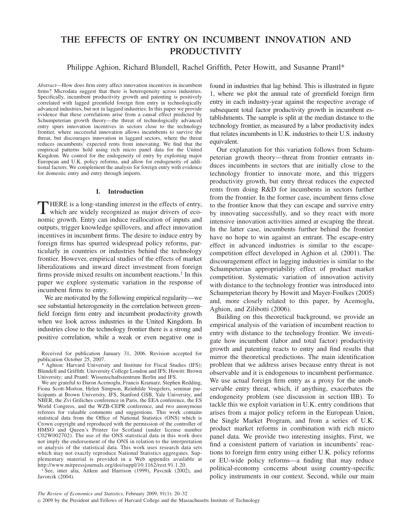### **THE EFFECTS OF ENTRY ON INCUMBENT INNOVATION AND PRODUCTIVITY**

#### Philippe Aghion, Richard Blundell, Rachel Griffith, Peter Howitt, and Susanne Prantl\*

*Abstract*—How does firm entry affect innovation incentives in incumbent firms? Microdata suggest that there is heterogeneity across industries. Specifically, incumbent productivity growth and patenting is positively correlated with lagged greenfield foreign firm entry in technologically advanced industries, but not in laggard industries. In this paper we provide evidence that these correlations arise from a causal effect predicted by Schumpeterian growth theory—the threat of technologically advanced entry spurs innovation incentives in sectors close to the technology frontier, where successful innovation allows incumbents to survive the threat, but discourages innovation in laggard sectors, where the threat reduces incumbents' expected rents from innovating. We find that the empirical patterns hold using rich micro panel data for the United Kingdom. We control for the endogeneity of entry by exploiting major European and U.K. policy reforms, and allow for endogeneity of additional factors. We complement the analysis for foreign entry with evidence for domestic entry and entry through imports.

#### **I. Introduction**

THERE is a long-standing interest in the effects of entry,<br>which are widely recognized as major drivers of economic growth. Entry can induce reallocation of inputs and outputs, trigger knowledge spillovers, and affect innovation incentives in incumbent firms. The desire to induce entry by foreign firms has spurred widespread policy reforms, particularly in countries or industries behind the technology frontier. However, empirical studies of the effects of market liberalizations and inward direct investment from foreign firms provide mixed results on incumbent reactions.<sup>1</sup> In this paper we explore systematic variation in the response of incumbent firms to entry.

We are motivated by the following empirical regularity—we see substantial heterogeneity in the correlation between greenfield foreign firm entry and incumbent productivity growth when we look across industries in the United Kingdom. In industries close to the technology frontier there is a strong and positive correlation, while a weak or even negative one is

\* Aghion: Harvard University and Institute for Fiscal Studies (IFS); Blundell and Griffith: University College London and IFS; Howitt: Brown University; and Prantl: Wissenschaftszentrum Berlin and IFS.

We are grateful to Daron Acemoglu, Francis Kramarz, Stephen Redding, Fiona Scott-Morton, Helen Simpson, Reinhilde Veugelers, seminar participants at Brown University, IFS, Stanford GSB, Yale University, and NBER, the Zvi Griliches conference in Paris, the EEA conference, the ES World Congress, and the WZB-CEPR conference, and two anonymous referees for valuable comments and suggestions. This work contains statistical data from the Office of National Statistics (ONS) which is Crown copyright and reproduced with the permission of the controller of HMSO and Queen's Printer for Scotland (under license number C02W002702). The use of the ONS statistical data in this work does not imply the endorsement of the ONS in relation to the interpretation or analysis of the statistical data. This work uses research data sets which may not exactly reproduce National Statistics aggregates. Supplementary material is provided in a Web appendix available at http://www.mitpressjournals.org/doi/suppl/10.1162/rest.91.1.20.

<sup>1</sup> See, inter alia, Aitken and Harrison (1999), Pavcnik (2002), and Javorcik (2004).

found in industries that lag behind. This is illustrated in figure 1, where we plot the annual rate of greenfield foreign firm entry in each industry-year against the respective average of subsequent total factor productivity growth in incumbent establishments. The sample is split at the median distance to the technology frontier, as measured by a labor productivity index that relates incumbents in U.K. industries to their U.S. industry equivalent.

Our explanation for this variation follows from Schumpeterian growth theory—threat from frontier entrants induces incumbents in sectors that are initially close to the technology frontier to innovate more, and this triggers productivity growth, but entry threat reduces the expected rents from doing R&D for incumbents in sectors further from the frontier. In the former case, incumbent firms close to the frontier know that they can escape and survive entry by innovating successfully, and so they react with more intensive innovation activities aimed at escaping the threat. In the latter case, incumbents further behind the frontier have no hope to win against an entrant. The escape-entry effect in advanced industries is similar to the escapecompetition effect developed in Aghion et al. (2001). The discouragement effect in lagging industries is similar to the Schumpeterian appropriability effect of product market competition. Systematic variation of innovation activity with distance to the technology frontier was introduced into Schumpeterian theory by Howitt and Mayer-Foulkes (2005) and, more closely related to this paper, by Acemoglu, Aghion, and Zilibotti (2006).

Building on this theoretical background, we provide an empirical analysis of the variation of incumbent reaction to entry with distance to the technology frontier. We investigate how incumbent (labor and total factor) productivity growth and patenting reacts to entry and find results that mirror the theoretical predictions. The main identification problem that we address arises because entry threat is not observable and it is endogenous to incumbent performance. We use actual foreign firm entry as a proxy for the unobservable entry threat, which, if anything, exacerbates the endogeneity problem (see discussion in section IIB). To tackle this we exploit variation in U.K. entry conditions that arises from a major policy reform in the European Union, the Single Market Program, and from a series of U.K. product market reforms in combination with rich micro panel data. We provide two interesting insights. First, we find a consistent pattern of variation in incumbents' reactions to foreign firm entry using either U.K. policy reforms or EU-wide policy reforms—a finding that may reduce political-economy concerns about using country-specific policy instruments in our context. Second, while our main

Received for publication January 31, 2006. Revision accepted for publication October 25, 2007.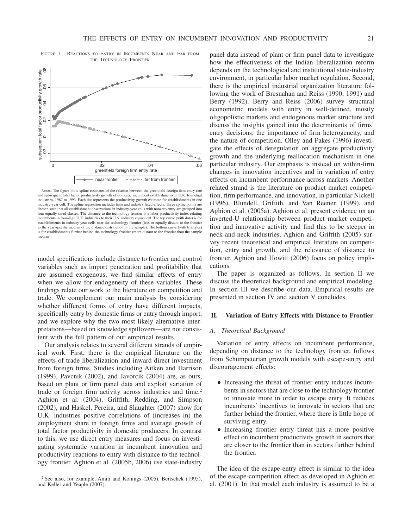FIGURE 1.—REACTIONS TO ENTRY IN INCUMBENTS NEAR AND FAR FROM THE TECHNOLOGY FRONTIER



Notes: The figure plots spline estimates of the relation between the greenfield foreign firm entry rate and subsequent total factor productivity growth of domestic incumbent establishments in U.K. four-digit industries, 1987 to 1993. Each dot represents the productivity growth estimate for establishments in one industry-year cell. The spline regression includes time and industry fixed effects. Three spline points are chosen such that all establishment observations in industry-year cells with nonzero entry are grouped into four equally sized classes. The distance to the technology frontier is a labor productivity index relating incumbents in four-digit U.K. industries to their U.S. industry equivalent. The top curve (with dots) is for establishments in industry-year cells near the technology frontier (less or equally distant to the frontier as the year-specific median of the distance distribution in the sample). The bottom curve (with triangles) is for establishments further behind the technology frontier (more distant to the frontier than the sample median).

model specifications include distance to frontier and control variables such as import penetration and profitability that are assumed exogenous, we find similar effects of entry when we allow for endogeneity of these variables. These findings relate our work to the literature on competition and trade. We complement our main analysis by considering whether different forms of entry have different impacts, specifically entry by domestic firms or entry through import, and we explore why the two most likely alternative interpretations—based on knowledge spillovers—are not consistent with the full pattern of our empirical results.

Our analysis relates to several different strands of empirical work. First, there is the empirical literature on the effects of trade liberalization and inward direct investment from foreign firms. Studies including Aitken and Harrison (1999), Pavcnik (2002), and Javorcik (2004) are, as ours, based on plant or firm panel data and exploit variation of trade or foreign firm activity across industries and time.<sup>2</sup> Aghion et al. (2004), Griffith, Redding, and Simpson (2002), and Haskel, Pereira, and Slaughter (2007) show for U.K. industries positive correlations of (increases in) the employment share in foreign firms and average growth of total factor productivity in domestic producers. In contrast to this, we use direct entry measures and focus on investigating systematic variation in incumbent innovation and productivity reactions to entry with distance to the technology frontier. Aghion et al. (2005b, 2006) use state-industry

panel data instead of plant or firm panel data to investigate how the effectiveness of the Indian liberalization reform depends on the technological and institutional state-industry environment, in particular labor market regulation. Second, there is the empirical industrial organization literature following the work of Bresnahan and Reiss (1990, 1991) and Berry (1992). Berry and Reiss (2006) survey structural econometric models with entry in well-defined, mostly oligopolistic markets and endogenous market structure and discuss the insights gained into the determinants of firms' entry decisions, the importance of firm heterogeneity, and the nature of competition. Olley and Pakes (1996) investigate the effects of deregulation on aggregate productivity growth and the underlying reallocation mechanism in one particular industry. Our emphasis is instead on within-firm changes in innovation incentives and in variation of entry effects on incumbent performance across markets. Another related strand is the literature on product market competition, firm performance, and innovation, in particular Nickell (1996), Blundell, Griffith, and Van Reenen (1999), and Aghion et al. (2005a). Aghion et al. present evidence on an inverted-U relationship between product market competition and innovative activity and find this to be steeper in neck-and-neck industries. Aghion and Griffith (2005) survey recent theoretical and empirical literature on competition, entry and growth, and the relevance of distance to frontier. Aghion and Howitt (2006) focus on policy implications.

The paper is organized as follows. In section II we discuss the theoretical background and empirical modeling. In section III we describe our data. Empirical results are presented in section IV and section V concludes.

#### **II. Variation of Entry Effects with Distance to Frontier**

#### *A. Theoretical Background*

Variation of entry effects on incumbent performance, depending on distance to the technology frontier, follows from Schumpeterian growth models with escape-entry and discouragement effects:

- Increasing the threat of frontier entry induces incumbents in sectors that are close to the technology frontier to innovate more in order to escape entry. It reduces incumbents' incentives to innovate in sectors that are further behind the frontier, where there is little hope of surviving entry.
- Increasing frontier entry threat has a more positive effect on incumbent productivity growth in sectors that are closer to the frontier than in sectors further behind the frontier.

The idea of the escape-entry effect is similar to the idea of the escape-competition effect as developed in Aghion et al. (2001). In that model each industry is assumed to be a

<sup>2</sup> See also, for example, Amiti and Konings (2005), Bertschek (1995), and Keller and Yeaple (2007).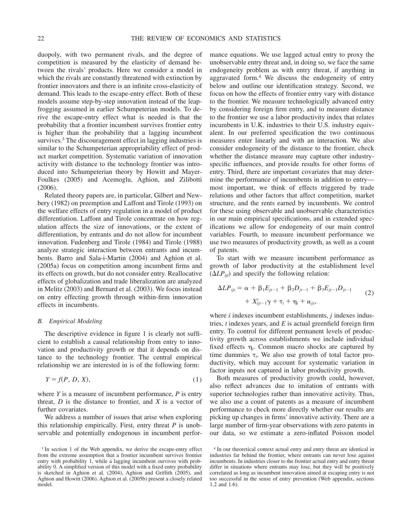duopoly, with two permanent rivals, and the degree of competition is measured by the elasticity of demand between the rivals' products. Here we consider a model in which the rivals are constantly threatened with extinction by frontier innovators and there is an infinite cross-elasticity of demand. This leads to the escape-entry effect. Both of these models assume step-by-step innovation instead of the leapfrogging assumed in earlier Schumpeterian models. To derive the escape-entry effect what is needed is that the probability that a frontier incumbent survives frontier entry is higher than the probability that a lagging incumbent survives.<sup>3</sup> The discouragement effect in lagging industries is similar to the Schumpeterian appropriability effect of product market competition. Systematic variation of innovation activity with distance to the technology frontier was introduced into Schumpeterian theory by Howitt and Mayer-Foulkes (2005) and Acemoglu, Aghion, and Zilibotti (2006).

Related theory papers are, in particular, Gilbert and Newbery (1982) on preemption and Laffont and Tirole (1993) on the welfare effects of entry regulation in a model of product differentiation. Laffont and Tirole concentrate on how regulation affects the size of innovations, or the extent of differentiation, by entrants and do not allow for incumbent innovation. Fudenberg and Tirole (1984) and Tirole (1988) analyze strategic interaction between entrants and incumbents. Barro and Sala-i-Martin (2004) and Aghion et al. (2005a) focus on competition among incumbent firms and its effects on growth, but do not consider entry. Reallocative effects of globalization and trade liberalization are analyzed in Melitz (2003) and Bernard et al. (2003). We focus instead on entry effecting growth through within-firm innovation effects in incumbents.

#### *B. Empirical Modeling*

The descriptive evidence in figure 1 is clearly not sufficient to establish a causal relationship from entry to innovation and productivity growth or that it depends on distance to the technology frontier. The central empirical relationship we are interested in is of the following form:

$$
Y = f(P, D, X),\tag{1}
$$

where *Y* is a measure of incumbent performance, *P* is entry threat, *D* is the distance to frontier, and *X* is a vector of further covariates.

We address a number of issues that arise when exploring this relationship empirically. First, entry threat *P* is unobservable and potentially endogenous in incumbent performance equations. We use lagged actual entry to proxy the unobservable entry threat and, in doing so, we face the same endogeneity problem as with entry threat, if anything in aggravated form.4 We discuss the endogeneity of entry below and outline our identification strategy. Second, we focus on how the effects of frontier entry vary with distance to the frontier. We measure technologically advanced entry by considering foreign firm entry, and to measure distance to the frontier we use a labor productivity index that relates incumbents in U.K. industries to their U.S. industry equivalent. In our preferred specification the two continuous measures enter linearly and with an interaction. We also consider endogeneity of the distance to the frontier, check whether the distance measure may capture other industryspecific influences, and provide results for other forms of entry. Third, there are important covariates that may determine the performance of incumbents in addition to entry most important, we think of effects triggered by trade relations and other factors that affect competition, market structure, and the rents earned by incumbents. We control for these using observable and unobservable characteristics in our main empirical specifications, and in extended specifications we allow for endogeneity of our main control variables. Fourth, to measure incumbent performance we use two measures of productivity growth, as well as a count of patents.

To start with we measure incumbent performance as growth of labor productivity at the establishment level  $(\Delta LP_{ijt})$  and specify the following relation:

$$
\Delta LP_{ijt} = \alpha + \beta_1 E_{jt-1} + \beta_2 D_{jt-1} + \beta_3 E_{jt-1} D_{jt-1} + X'_{ijt-1} \gamma + \tau_t + \eta_i + u_{ijt},
$$
\n(2)

where *i* indexes incumbent establishments, *j* indexes industries, *t* indexes years, and *E* is actual greenfield foreign firm entry. To control for different permanent levels of productivity growth across establishments we include individual fixed effects  $\eta_i$ . Common macro shocks are captured by time dummies  $\tau_t$ . We also use growth of total factor productivity, which may account for systematic variation in factor inputs not captured in labor productivity growth.

Both measures of productivity growth could, however, also reflect advances due to imitation of entrants with superior technologies rather than innovative activity. Thus, we also use a count of patents as a measure of incumbent performance to check more directly whether our results are picking up changes in firms' innovative activity. There are a large number of firm-year observations with zero patents in our data, so we estimate a zero-inflated Poisson model

<sup>&</sup>lt;sup>3</sup> In section 1 of the Web appendix, we derive the escape-entry effect from the extreme assumption that a frontier incumbent survives frontier entry with probability 1, while a lagging incumbent survives with probability 0. A simplified version of this model with a fixed entry probability is sketched in Aghion et al. (2004), Aghion and Griffith (2005), and Aghion and Howitt (2006). Aghion et al. (2005b) present a closely related model.

<sup>4</sup> In our theoretical context actual entry and entry threat are identical in industries far behind the frontier, where entrants can never lose against incumbents. In industries closer to the frontier actual entry and entry threat differ in situations where entrants may lose, but they will be positively correlated as long as incumbent innovation aimed at escaping entry is not too successful in the sense of entry prevention (Web appendix, sections 1.2 and 1.6).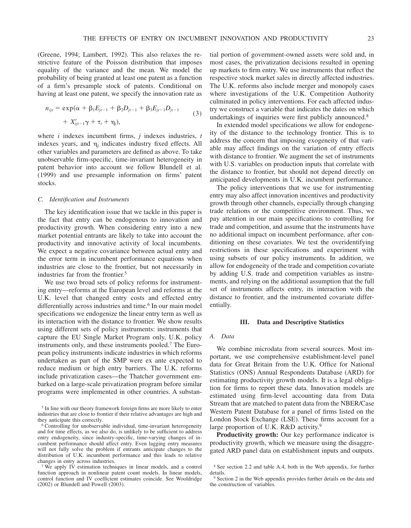(Greene, 1994; Lambert, 1992). This also relaxes the restrictive feature of the Poisson distribution that imposes equality of the variance and the mean. We model the probability of being granted at least one patent as a function of a firm's presample stock of patents. Conditional on having at least one patent, we specify the innovation rate as

$$
n_{ijt} = \exp(\alpha + \beta_1 E_{jt-1} + \beta_2 D_{jt-1} + \beta_3 E_{jt-1} D_{jt-1} + X'_{ijt-1} \gamma + \tau_t + \eta_j),
$$
\n(3)

where *i* indexes incumbent firms, *j* indexes industries, *t* indexes years, and  $\eta_i$  indicates industry fixed effects. All other variables and parameters are defined as above. To take unobservable firm-specific, time-invariant heterogeneity in patent behavior into account we follow Blundell et al. (1999) and use presample information on firms' patent stocks.

#### *C. Identification and Instruments*

The key identification issue that we tackle in this paper is the fact that entry can be endogenous to innovation and productivity growth. When considering entry into a new market potential entrants are likely to take into account the productivity and innovative activity of local incumbents. We expect a negative covariance between actual entry and the error term in incumbent performance equations when industries are close to the frontier, but not necessarily in industries far from the frontier.5

We use two broad sets of policy reforms for instrumenting entry—reforms at the European level and reforms at the U.K. level that changed entry costs and effected entry differentially across industries and time.<sup>6</sup> In our main model specifications we endogenize the linear entry term as well as its interaction with the distance to frontier. We show results using different sets of policy instruments: instruments that capture the EU Single Market Program only, U.K. policy instruments only, and these instruments pooled.7 The European policy instruments indicate industries in which reforms undertaken as part of the SMP were ex ante expected to reduce medium or high entry barriers. The U.K. reforms include privatization cases—the Thatcher government embarked on a large-scale privatization program before similar programs were implemented in other countries. A substantial portion of government-owned assets were sold and, in most cases, the privatization decisions resulted in opening up markets to firm entry. We use instruments that reflect the respective stock market sales in directly affected industries. The U.K. reforms also include merger and monopoly cases where investigations of the U.K. Competition Authority culminated in policy interventions. For each affected industry we construct a variable that indicates the dates on which undertakings of inquiries were first publicly announced.8

In extended model specifications we allow for endogeneity of the distance to the technology frontier. This is to address the concern that imposing exogeneity of that variable may affect findings on the variation of entry effects with distance to frontier. We augment the set of instruments with U.S. variables on production inputs that correlate with the distance to frontier, but should not depend directly on anticipated developments in U.K. incumbent performance.

The policy interventions that we use for instrumenting entry may also affect innovation incentives and productivity growth through other channels, especially through changing trade relations or the competitive environment. Thus, we pay attention in our main specifications to controlling for trade and competition, and assume that the instruments have no additional impact on incumbent performance, after conditioning on these covariates. We test the overidentifying restrictions in these specifications and experiment with using subsets of our policy instruments. In addition, we allow for endogeneity of the trade and competition covariate by adding U.S. trade and competition variables as instruments, and relying on the additional assumption that the full set of instruments affects entry, its interaction with the distance to frontier, and the instrumented covariate differentially.

#### **III. Data and Descriptive Statistics**

#### *A. Data*

We combine microdata from several sources. Most important, we use comprehensive establishment-level panel data for Great Britain from the U.K. Office for National Statistics (ONS) Annual Respondents Database (ARD) for estimating productivity growth models. It is a legal obligation for firms to report these data. Innovation models are estimated using firm-level accounting data from Data Stream that are matched to patent data from the NBER/Case Western Patent Database for a panel of firms listed on the London Stock Exchange (LSE). These firms account for a large proportion of U.K. R&D activity.9

**Productivity growth:** Our key performance indicator is productivity growth, which we measure using the disaggregated ARD panel data on establishment inputs and outputs.

<sup>5</sup> In line with our theory framework foreign firms are more likely to enter industries that are close to frontier if their relative advantages are high and they anticipate this correctly.

<sup>&</sup>lt;sup>6</sup> Controlling for unobservable individual, time-invariant heterogeneity and for time effects, as we also do, is unlikely to be sufficient to address entry endogeneity, since industry-specific, time-varying changes of incumbent performance should affect entry. Even lagging entry measures will not fully solve the problem if entrants anticipate changes to the distribution of U.K. incumbent performance and this leads to relative changes in entry across industries.

 $7$  We apply IV estimation techniques in linear models, and a control function approach in nonlinear patent count models. In linear models, control function and IV coefficient estimates coincide. See Wooldridge (2002) or Blundell and Powell (2003).

<sup>8</sup> See section 2.2 and table A.4, both in the Web appendix, for further details.

<sup>9</sup> Section 2 in the Web appendix provides further details on the data and the construction of variables.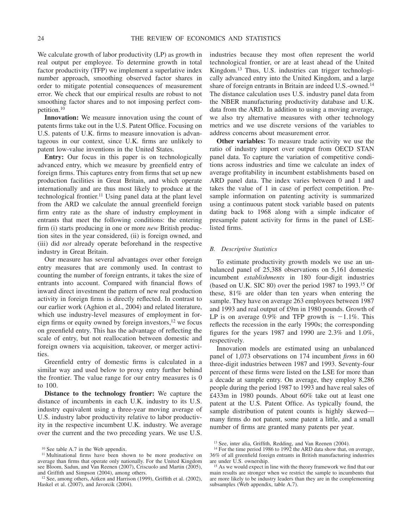We calculate growth of labor productivity (LP) as growth in real output per employee. To determine growth in total factor productivity (TFP) we implement a superlative index number approach, smoothing observed factor shares in order to mitigate potential consequences of measurement error. We check that our empirical results are robust to not smoothing factor shares and to not imposing perfect competition.10

**Innovation:** We measure innovation using the count of patents firms take out in the U.S. Patent Office. Focusing on U.S. patents of U.K. firms to measure innovation is advantageous in our context, since U.K. firms are unlikely to patent low-value inventions in the United States.

**Entry:** Our focus in this paper is on technologically advanced entry, which we measure by greenfield entry of foreign firms. This captures entry from firms that set up new production facilities in Great Britain, and which operate internationally and are thus most likely to produce at the technological frontier.<sup>11</sup> Using panel data at the plant level from the ARD we calculate the annual greenfield foreign firm entry rate as the share of industry employment in entrants that meet the following conditions: the entering firm (i) starts producing in one or more *new* British production sites in the year considered, (ii) is foreign owned, and (iii) did *not* already operate beforehand in the respective industry in Great Britain.

Our measure has several advantages over other foreign entry measures that are commonly used. In contrast to counting the number of foreign entrants, it takes the size of entrants into account. Compared with financial flows of inward direct investment the pattern of new real production activity in foreign firms is directly reflected. In contrast to our earlier work (Aghion et al., 2004) and related literature, which use industry-level measures of employment in foreign firms or equity owned by foreign investors,<sup>12</sup> we focus on greenfield entry. This has the advantage of reflecting the scale of entry, but not reallocation between domestic and foreign owners via acquisition, takeover, or merger activities.

Greenfield entry of domestic firms is calculated in a similar way and used below to proxy entry further behind the frontier. The value range for our entry measures is 0 to 100.

**Distance to the technology frontier:** We capture the distance of incumbents in each U.K. industry to its U.S. industry equivalent using a three-year moving average of U.S. industry labor productivity relative to labor productivity in the respective incumbent U.K. industry. We average over the current and the two preceding years. We use U.S.

industries because they most often represent the world technological frontier, or are at least ahead of the United Kingdom.13 Thus, U.S. industries can trigger technologically advanced entry into the United Kingdom, and a large share of foreign entrants in Britain are indeed U.S.-owned.<sup>14</sup> The distance calculation uses U.S. industry panel data from the NBER manufacturing productivity database and U.K. data from the ARD. In addition to using a moving average, we also try alternative measures with other technology metrics and we use discrete versions of the variables to address concerns about measurement error.

**Other variables:** To measure trade activity we use the ratio of industry import over output from OECD STAN panel data. To capture the variation of competitive conditions across industries and time we calculate an index of average profitability in incumbent establishments based on ARD panel data. The index varies between 0 and 1 and takes the value of 1 in case of perfect competition. Presample information on patenting activity is summarized using a continuous patent stock variable based on patents dating back to 1968 along with a simple indicator of presample patent activity for firms in the panel of LSElisted firms.

#### *B. Descriptive Statistics*

To estimate productivity growth models we use an unbalanced panel of 25,388 observations on 5,161 domestic incumbent *establishments* in 180 four-digit industries (based on U.K. SIC 80) over the period 1987 to 1993.15 Of these, 81% are older than ten years when entering the sample. They have on average 263 employees between 1987 and 1993 and real output of £9m in 1980 pounds. Growth of LP is on average 0.9% and TFP growth is  $-1.1\%$ . This reflects the recession in the early 1990s; the corresponding figures for the years 1987 and 1990 are 2.3% and 1.0%, respectively.

Innovation models are estimated using an unbalanced panel of 1,073 observations on 174 incumbent *firms* in 60 three-digit industries between 1987 and 1993. Seventy-four percent of these firms were listed on the LSE for more than a decade at sample entry. On average, they employ 8,286 people during the period 1987 to 1993 and have real sales of £433m in 1980 pounds. About 60% take out at least one patent at the U.S. Patent Office. As typically found, the sample distribution of patent counts is highly skewed many firms do not patent, some patent a little, and a small number of firms are granted many patents per year.

<sup>10</sup> See table A.7 in the Web appendix.

<sup>&</sup>lt;sup>11</sup> Multinational firms have been shown to be more productive on average than firms that operate only nationally. For the United Kingdom see Bloom, Sadun, and Van Reenen (2007), Criscuolo and Martin (2005), and Griffith and Simpson (2004), among others.

<sup>12</sup> See, among others, Aitken and Harrison (1999), Griffith et al. (2002), Haskel et al. (2007), and Javorcik (2004).

<sup>13</sup> See, inter alia, Griffith, Redding, and Van Reenen (2004).

<sup>&</sup>lt;sup>14</sup> For the time period 1986 to 1992 the ARD data show that, on average, 36% of all greenfield foreign entrants in British manufacturing industries are under U.S. ownership.

<sup>&</sup>lt;sup>15</sup> As we would expect in line with the theory framework we find that our main results are stronger when we restrict the sample to incumbents that are more likely to be industry leaders than they are in the complementing subsamples (Web appendix, table A.7).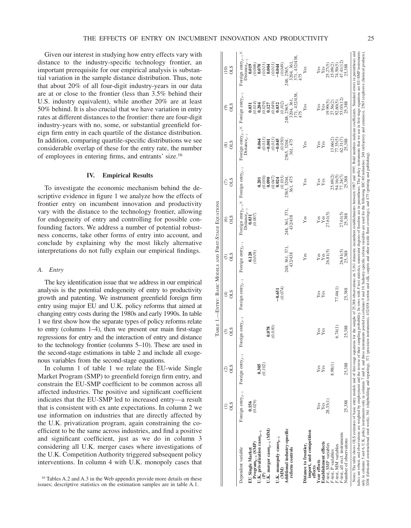Given our interest in studying how entry effects vary with distance to the industry-specific technology frontier, an important prerequisite for our empirical analysis is substantial variation in the sample distance distribution. Thus, note that about 20% of all four-digit industry-years in our data are at or close to the frontier (less than 3.5% behind their U.S. industry equivalent), while another 20% are at least 50% behind. It is also crucial that we have variation in entry rates at different distances to the frontier: there are four-digit industry-years with no, some, or substantial greenfield foreign firm entry in each quartile of the distance distribution. In addition, comparing quartile-specific distributions we see considerable overlap of these for the entry rate, the number

#### **IV. Empirical Results**

of employees in entering firms, and entrants' size.16

To investigate the economic mechanism behind the descriptive evidence in figure 1 we analyze how the effects of frontier entry on incumbent innovation and productivity vary with the distance to the technology frontier, allowing for endogeneity of entry and controlling for possible confounding factors. We address a number of potential robustness concerns, take other forms of entry into account, and conclude by explaining why the most likely alternative interpretations do not fully explain our empirical findings.

#### *A. Entry*

The key identification issue that we address in our empirical analysis is the potential endogeneity of entry to productivity growth and patenting. We instrument greenfield foreign firm entry using major EU and U.K. policy reforms that aimed at changing entry costs during the 1980s and early 1990s. In table 1 we first show how the separate types of policy reforms relate to entry (columns 1–4), then we present our main first-stage regressions for entry and the interaction of entry and distance to the technology frontier (columns 5–10). These are used in the second-stage estimations in table 2 and include all exogenous variables from the second-stage equations.

In column 1 of table 1 we relate the EU-wide Single Market Program (SMP) to greenfield foreign firm entry, and constrain the EU-SMP coefficient to be common across all affected industries. The positive and significant coefficient indicates that the EU-SMP led to increased entry—a result that is consistent with ex ante expectations. In column 2 we use information on industries that are directly affected by the U.K. privatization program, again constraining the coefficient to be the same across industries, and find a positive and significant coefficient, just as we do in column 3 considering all U.K. merger cases where investigations of the U.K. Competition Authority triggered subsequent policy interventions. In column 4 with U.K. monopoly cases that

<sup>16</sup> Tables A.2 and A.3 in the Web appendix provide more details on these issues; descriptive statistics on the estimation samples are in table A.1.

|                                                                                                                                                                                                                                                                                                                                                                                                                                                                                                                                                                                                                                                                                                                                                                                                                                                                                                                         |                          |                        |                         | TABLE 1.-ENTRY: BASIC MODELS AND FIRST-STAGE EQUATIONS |                         |                                           |                                                               |                                                    |                                        |                                       |
|-------------------------------------------------------------------------------------------------------------------------------------------------------------------------------------------------------------------------------------------------------------------------------------------------------------------------------------------------------------------------------------------------------------------------------------------------------------------------------------------------------------------------------------------------------------------------------------------------------------------------------------------------------------------------------------------------------------------------------------------------------------------------------------------------------------------------------------------------------------------------------------------------------------------------|--------------------------|------------------------|-------------------------|--------------------------------------------------------|-------------------------|-------------------------------------------|---------------------------------------------------------------|----------------------------------------------------|----------------------------------------|---------------------------------------|
|                                                                                                                                                                                                                                                                                                                                                                                                                                                                                                                                                                                                                                                                                                                                                                                                                                                                                                                         |                          |                        | STO<br>$\widehat{c}$    | STO<br>$\widehat{\mathfrak{X}}$                        | STO<br>$\odot$          | <b>CTO</b><br>$\widehat{\circ}$           | STO<br>$\widehat{\epsilon}$                                   | STO<br>ဴ                                           | <b>OLS</b><br>$\widehat{\mathfrak{G}}$ | STIO<br>$\frac{1}{2}$                 |
| Dependent variable                                                                                                                                                                                                                                                                                                                                                                                                                                                                                                                                                                                                                                                                                                                                                                                                                                                                                                      | Foreign entry $y_{jt-1}$ | Foreign entry $_{n=1}$ | Foreign entry $_{jt-1}$ | Foreign entry $_{jt-1}$                                | Foreign entry $_{ji-1}$ |                                           | Foreign entry <sub>it-1</sub> × Foreign entry <sub>it-1</sub> | Foreign entry <sub><math>j-1</math></sub> $\times$ | Foreign entry $_{ji-1}$                | Foreign entry <sub>j-1</sub> $\times$ |
| $Program_{j_{t}-1}$ (SMP)<br>EU Single Market                                                                                                                                                                                                                                                                                                                                                                                                                                                                                                                                                                                                                                                                                                                                                                                                                                                                           | (0.029)<br>0.156         |                        |                         |                                                        | (0.019)<br>0.120        | Distance $_{j_{l-1}}$<br>0.031<br>(0.007) |                                                               | $Distance_{ji-1}$                                  | (0.014)<br>0.031                       | $Distance_{jt-1}$<br>0.019            |
| U.K. privatization $\cos_{n-1}$                                                                                                                                                                                                                                                                                                                                                                                                                                                                                                                                                                                                                                                                                                                                                                                                                                                                                         |                          | (0.102)<br>0.305       |                         |                                                        |                         |                                           | (0.030)<br>0.201                                              | (0.013)<br>0.064                                   | $0.202$<br>$0.027$                     |                                       |
| U.K. merger cases <sub>i-1</sub> (MM)                                                                                                                                                                                                                                                                                                                                                                                                                                                                                                                                                                                                                                                                                                                                                                                                                                                                                   |                          |                        | $0.078$<br>$0.030$      |                                                        |                         |                                           | (0.047)<br>0.090                                              | (0.013)<br>$-0.001$                                | 0.049                                  |                                       |
| U.K. monopoly cases <sub>it-1</sub>                                                                                                                                                                                                                                                                                                                                                                                                                                                                                                                                                                                                                                                                                                                                                                                                                                                                                     |                          |                        |                         | $-0.651$<br>(0.074)                                    |                         |                                           | 0.024                                                         | $-0.045$                                           | 0.032                                  | $-0.013$<br>-0.044                    |
| Additional industry-specific<br>MM                                                                                                                                                                                                                                                                                                                                                                                                                                                                                                                                                                                                                                                                                                                                                                                                                                                                                      |                          |                        |                         |                                                        | 248, 361, 371,          | 248, 361, 371,<br>432/438                 | (0.103)<br>2565, 3204                                         | (0.050)<br>2565, 3204                              | (0.102)<br>248, 2565,                  | (0.049)<br>248, 2565,                 |
| reform controls                                                                                                                                                                                                                                                                                                                                                                                                                                                                                                                                                                                                                                                                                                                                                                                                                                                                                                         |                          |                        |                         |                                                        | 432/438                 |                                           | 361, 475                                                      | 361, 475                                           | 371, 432/438<br>3204, 36.<br>475       | 371, 432/438,<br>475<br>3204, 361     |
| import, and competition<br>Distance to frontier,                                                                                                                                                                                                                                                                                                                                                                                                                                                                                                                                                                                                                                                                                                                                                                                                                                                                        |                          |                        |                         |                                                        | Yes                     | Yes                                       | Yes                                                           | Yes                                                | Yes                                    | $\mathbf{Yes}$                        |
| Year effects<br>effects                                                                                                                                                                                                                                                                                                                                                                                                                                                                                                                                                                                                                                                                                                                                                                                                                                                                                                 | Yes                      | Yes                    | Yes                     | $_{Y_{CS}}^{\rm{cos}}$                                 | Yes                     | Yes                                       |                                                               | Yes                                                | Yes                                    | Yes                                   |
| Establishment effects<br>F-test, SMP variables                                                                                                                                                                                                                                                                                                                                                                                                                                                                                                                                                                                                                                                                                                                                                                                                                                                                          | 28.33(1)<br>Yes          | Yes                    | Yes                     |                                                        | 26.81(5)<br>Yes         | 27.61(5)<br>Yes                           | Yes<br>Yes                                                    | Yes                                                | 19.99(5)<br>Yes                        | $\mathbf{Yes}$                        |
| F-test, P variables                                                                                                                                                                                                                                                                                                                                                                                                                                                                                                                                                                                                                                                                                                                                                                                                                                                                                                     |                          | 8.98(1)                |                         |                                                        |                         |                                           | 25.69(2)                                                      | 13.66(2)                                           | 27.56(2)                               | 25.27(5)<br>15.09(2)                  |
| F-test, all excl. instruments<br>F-test, MM variables                                                                                                                                                                                                                                                                                                                                                                                                                                                                                                                                                                                                                                                                                                                                                                                                                                                                   |                          |                        | 6.74(1)                 | 77.46(1)                                               | 26.81(5)                | 27.61(5)                                  | 94.16(5)<br>77.24(7)                                          | $77.35(5)$<br>62.31(7)                             | 53.03(12)<br>92.60(5)                  | 74.50(5)<br>47.41(12)                 |
| Number of observations                                                                                                                                                                                                                                                                                                                                                                                                                                                                                                                                                                                                                                                                                                                                                                                                                                                                                                  | 25,388                   | 25,388                 | 25,388                  | 25,388                                                 | 25,388                  | 25,388                                    | 25,388                                                        | 25,388                                             | 25,388                                 | 25,388                                |
| talies are robust, and observations are weighted by employment and the inverse of their sampling probability. In rows with F-test statistics, numerator degrees of freedom are in parentheses. The policy instruments that we<br>Notes: The table shows OLS estimates of basic entry models and of first-stage equations for the sample of 25,388 observations on 5,161 domestic incumbent establishments between 1987 and 1993. Bold numbers indicate coeffici<br>olumns 5 and 6, U.K. policy instruments only in columns 7 and 8, and these instruments pooled in columns 9 and 10. Industry-specific reform variables are used for the following SIC-80 industies: 248 (refractory and ceramic<br>204 (fabricated constructional steel work), 361 (shipbuilding and repairing), 371 (precision instruments), 432/438 (cotton and silk, carpets and other textile floor coverings), and 475 (printing and publishing) |                          |                        |                         |                                                        |                         |                                           |                                                               |                                                    |                                        |                                       |
|                                                                                                                                                                                                                                                                                                                                                                                                                                                                                                                                                                                                                                                                                                                                                                                                                                                                                                                         |                          |                        |                         |                                                        |                         |                                           |                                                               |                                                    |                                        |                                       |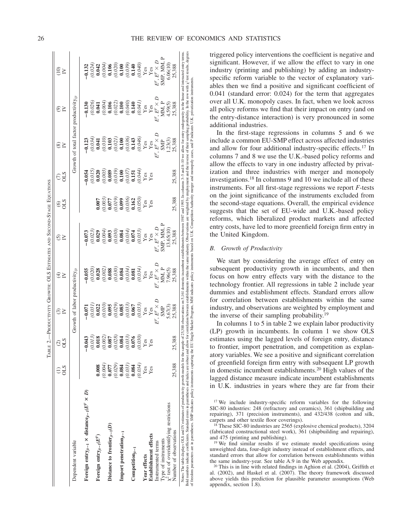|                                                                                                                                                                                                                                                                                                                                                                                                                                                                                                                                                                 |         |                                                                                                      |                                                                                                                   |                                                                                                                                                                                                                                                                                                                        | LABLE 2. - PRODUCTIVITY GROWTH: OLS ESTIMATES AND SECOND-STAGE EQUATIONS                                                                                                                                                                                                                                               |                                                                                                                                                                                                                                                                                                     |                                                                                                                                                    |                                                                                                                  |                                                                                                       |                                                                                                                                   |
|-----------------------------------------------------------------------------------------------------------------------------------------------------------------------------------------------------------------------------------------------------------------------------------------------------------------------------------------------------------------------------------------------------------------------------------------------------------------------------------------------------------------------------------------------------------------|---------|------------------------------------------------------------------------------------------------------|-------------------------------------------------------------------------------------------------------------------|------------------------------------------------------------------------------------------------------------------------------------------------------------------------------------------------------------------------------------------------------------------------------------------------------------------------|------------------------------------------------------------------------------------------------------------------------------------------------------------------------------------------------------------------------------------------------------------------------------------------------------------------------|-----------------------------------------------------------------------------------------------------------------------------------------------------------------------------------------------------------------------------------------------------------------------------------------------------|----------------------------------------------------------------------------------------------------------------------------------------------------|------------------------------------------------------------------------------------------------------------------|-------------------------------------------------------------------------------------------------------|-----------------------------------------------------------------------------------------------------------------------------------|
|                                                                                                                                                                                                                                                                                                                                                                                                                                                                                                                                                                 | STO     | $\widehat{\odot}$                                                                                    | $\odot$ $\geq$                                                                                                    | $\widehat{\pm}$                                                                                                                                                                                                                                                                                                        | ତ≥                                                                                                                                                                                                                                                                                                                     | $\widetilde{\mathcal{C}}$                                                                                                                                                                                                                                                                           | $\frac{1}{2}$                                                                                                                                      | ⊗                                                                                                                | ⊚≥                                                                                                    | $\frac{1}{2}$                                                                                                                     |
| Dependent variable                                                                                                                                                                                                                                                                                                                                                                                                                                                                                                                                              |         |                                                                                                      | Growth of labor productivity $_{in}$                                                                              |                                                                                                                                                                                                                                                                                                                        |                                                                                                                                                                                                                                                                                                                        |                                                                                                                                                                                                                                                                                                     |                                                                                                                                                    | Growth of total factor productivity $\dot{m}$                                                                    |                                                                                                       |                                                                                                                                   |
| Foreign entry <sub><math>i-1</math></sub> $\times$ distance <sub><math>i-1</math></sub> $(E^F \times D)$                                                                                                                                                                                                                                                                                                                                                                                                                                                        |         |                                                                                                      | $-0.071$                                                                                                          | $-0.055$                                                                                                                                                                                                                                                                                                               |                                                                                                                                                                                                                                                                                                                        |                                                                                                                                                                                                                                                                                                     | $-0.054$                                                                                                                                           |                                                                                                                  | $-0.130$                                                                                              |                                                                                                                                   |
|                                                                                                                                                                                                                                                                                                                                                                                                                                                                                                                                                                 |         | $\begin{array}{c}\n 43 \\  -0.013 \\  0.002 \\  0.003 \\  -0.003 \\  0.003 \\  -0.033\n \end{array}$ | $\begin{smallmatrix} (0.031) \\ 0.022 \\ 0.010) \\ 0.095 \\ 0.008 \\ 0.033) \\ 0.033) \\ 0.067 \end{smallmatrix}$ | $\begin{array}{l} (0.020) \\ (0.023) \\ (0.002) \\ (0.003) \\ (0.030) \\ (0.034) \\ (0.034) \\ (0.034) \\ (0.034) \\ (0.034) \\ (0.034) \\ (0.034) \\ (0.034) \\ (0.034) \\ (0.034) \\ (0.034) \\ (0.034) \\ (0.034) \\ (0.034) \\ (0.034) \\ (0.034) \\ (0.034) \\ (0.034) \\ (0.034) \\ (0.034) \\ (0.034) \\ (0.03$ | $\begin{array}{l} (73,76) \\ (70,72) \\ (70,72) \\ (70,72) \\ (70,72) \\ (70,72) \\ (70,72) \\ (70,72) \\ (70,72) \\ (70,72) \\ (70,72) \\ (70,72) \\ (70,72) \\ (70,72) \\ (70,72) \\ (70,72) \\ (70,72) \\ (70,72) \\ (70,72) \\ (70,72) \\ (70,72) \\ (70,72) \\ (70,72) \\ (70,72) \\ (70,72) \\ (70,72) \\ (70,7$ |                                                                                                                                                                                                                                                                                                     | $\begin{smallmatrix} (0.015) \\ (0.020) \\ (0.003) \\ (0.003) \\ (0.010) \\ (0.010) \\ (0.037) \\ (0.037) \\ (0.037) \\ (0.044) \end{smallmatrix}$ | $-0.123$<br>$(0.034)$<br>$(0.010)$<br>$(0.010)$<br>$(0.010)$<br>$(0.001)$<br>$(0.034)$<br>$(0.046)$<br>$(0.046)$ | $(0.026)$<br>$(0.004)$<br>$(0.004)$<br>$(0.003)$<br>$(0.0100)$<br>$(0.041)$<br>$(0.041)$<br>$(0.041)$ | $-0.132$<br>$(0.024)$<br>$(0.042)$<br>$(0.0404)$<br>$(0.0000)$<br>$(0.0000)$<br>$(0.0000)$<br>$(0.040)$<br>$(0.040)$<br>$(0.040)$ |
| Foreign entry $_{jt-1}(E^F)$                                                                                                                                                                                                                                                                                                                                                                                                                                                                                                                                    | 0.008   |                                                                                                      |                                                                                                                   |                                                                                                                                                                                                                                                                                                                        |                                                                                                                                                                                                                                                                                                                        | $\begin{array}{l} 0.007 \\ 0.003) \\ 0.019 \\ 0.019 \\ 0.009 \\ 0.000 \\ 0.000 \\ 0.000 \\ 0.000 \\ 0.000 \\ 0.000 \\ 0.000 \\ 0.000 \\ 0.000 \\ 0.000 \\ 0.000 \\ 0.000 \\ 0.000 \\ 0.000 \\ 0.000 \\ 0.000 \\ 0.000 \\ 0.000 \\ 0.000 \\ 0.000 \\ 0.000 \\ 0.000 \\ 0.000 \\ 0.000 \\ 0.000 \\ 0$ |                                                                                                                                                    |                                                                                                                  |                                                                                                       |                                                                                                                                   |
|                                                                                                                                                                                                                                                                                                                                                                                                                                                                                                                                                                 | (0.004) |                                                                                                      |                                                                                                                   |                                                                                                                                                                                                                                                                                                                        |                                                                                                                                                                                                                                                                                                                        |                                                                                                                                                                                                                                                                                                     |                                                                                                                                                    |                                                                                                                  |                                                                                                       |                                                                                                                                   |
| Distance to frontier <sub><math>n-1</math></sub> $(D)$                                                                                                                                                                                                                                                                                                                                                                                                                                                                                                          | 0.077   |                                                                                                      |                                                                                                                   |                                                                                                                                                                                                                                                                                                                        |                                                                                                                                                                                                                                                                                                                        |                                                                                                                                                                                                                                                                                                     |                                                                                                                                                    |                                                                                                                  |                                                                                                       |                                                                                                                                   |
|                                                                                                                                                                                                                                                                                                                                                                                                                                                                                                                                                                 | (0.029) |                                                                                                      |                                                                                                                   |                                                                                                                                                                                                                                                                                                                        |                                                                                                                                                                                                                                                                                                                        |                                                                                                                                                                                                                                                                                                     |                                                                                                                                                    |                                                                                                                  |                                                                                                       |                                                                                                                                   |
| Import penetration $_{ji-1}$                                                                                                                                                                                                                                                                                                                                                                                                                                                                                                                                    | 0.084   |                                                                                                      |                                                                                                                   |                                                                                                                                                                                                                                                                                                                        |                                                                                                                                                                                                                                                                                                                        |                                                                                                                                                                                                                                                                                                     |                                                                                                                                                    |                                                                                                                  |                                                                                                       |                                                                                                                                   |
|                                                                                                                                                                                                                                                                                                                                                                                                                                                                                                                                                                 | (0.033) | $\frac{(0.033)}{0.076}$                                                                              |                                                                                                                   |                                                                                                                                                                                                                                                                                                                        |                                                                                                                                                                                                                                                                                                                        |                                                                                                                                                                                                                                                                                                     |                                                                                                                                                    |                                                                                                                  |                                                                                                       |                                                                                                                                   |
| $Competition_{jt-1}$                                                                                                                                                                                                                                                                                                                                                                                                                                                                                                                                            | 0.084   |                                                                                                      |                                                                                                                   |                                                                                                                                                                                                                                                                                                                        |                                                                                                                                                                                                                                                                                                                        |                                                                                                                                                                                                                                                                                                     |                                                                                                                                                    |                                                                                                                  |                                                                                                       |                                                                                                                                   |
|                                                                                                                                                                                                                                                                                                                                                                                                                                                                                                                                                                 | (0.034) | (0.030)                                                                                              | (0.033)                                                                                                           |                                                                                                                                                                                                                                                                                                                        |                                                                                                                                                                                                                                                                                                                        |                                                                                                                                                                                                                                                                                                     |                                                                                                                                                    |                                                                                                                  |                                                                                                       |                                                                                                                                   |
| Year effects                                                                                                                                                                                                                                                                                                                                                                                                                                                                                                                                                    | Yes     | Yes                                                                                                  | Yes                                                                                                               | Yes                                                                                                                                                                                                                                                                                                                    | Yes                                                                                                                                                                                                                                                                                                                    |                                                                                                                                                                                                                                                                                                     | Yes                                                                                                                                                | Yes                                                                                                              | Yes                                                                                                   |                                                                                                                                   |
| <b>Establishment</b> effects                                                                                                                                                                                                                                                                                                                                                                                                                                                                                                                                    | Yes     | Yes                                                                                                  | Yes                                                                                                               | Yes                                                                                                                                                                                                                                                                                                                    | Yes                                                                                                                                                                                                                                                                                                                    |                                                                                                                                                                                                                                                                                                     | Yes                                                                                                                                                | Yes                                                                                                              | Yes                                                                                                   | Yes                                                                                                                               |
| Instrumented terms                                                                                                                                                                                                                                                                                                                                                                                                                                                                                                                                              |         |                                                                                                      | $E^F, E^F \times D$                                                                                               | $E^r, E^r \times D$                                                                                                                                                                                                                                                                                                    | $E^F, E^F \times D$                                                                                                                                                                                                                                                                                                    |                                                                                                                                                                                                                                                                                                     |                                                                                                                                                    | $E^F \times D$                                                                                                   | $E^F, E^F \times D$                                                                                   | $E^r, E^r \times D$                                                                                                               |
| Type of instruments                                                                                                                                                                                                                                                                                                                                                                                                                                                                                                                                             |         |                                                                                                      | <b>SMP</b>                                                                                                        | MM, P                                                                                                                                                                                                                                                                                                                  | SMP, MM, P                                                                                                                                                                                                                                                                                                             |                                                                                                                                                                                                                                                                                                     |                                                                                                                                                    | <b>SMP</b>                                                                                                       | MM, P                                                                                                 | SMP, MM, P                                                                                                                        |
| $x^2$ test of overidentifying restrictions                                                                                                                                                                                                                                                                                                                                                                                                                                                                                                                      |         |                                                                                                      |                                                                                                                   | 7.96(5)                                                                                                                                                                                                                                                                                                                | 13.65(10)                                                                                                                                                                                                                                                                                                              |                                                                                                                                                                                                                                                                                                     |                                                                                                                                                    |                                                                                                                  | 4.59(5)                                                                                               | 6.06(10)                                                                                                                          |
| Number of observations                                                                                                                                                                                                                                                                                                                                                                                                                                                                                                                                          | 25,388  | 388<br>25,3                                                                                          | 5.67(3)<br>25,388                                                                                                 | 25,388                                                                                                                                                                                                                                                                                                                 | 25,388                                                                                                                                                                                                                                                                                                                 | 25,388                                                                                                                                                                                                                                                                                              | 25,388                                                                                                                                             | 1.23(3)<br>25,388                                                                                                | 25,388                                                                                                | 25,388                                                                                                                            |
| Notes: The table displays OLS and IV estimates of productivity growth models for the sample of 25,388 observations on 5.161 domestic incumbent establishments between 1993 and 1993. In columns 3-5 and 6-10 we allow for entr<br>Bold numbers indicate coefficients. Standard errors in parentheses and italies are robust and allow for correlation between establishments within the same industry. Observations are weighted by employment and the inverse o<br>of freedom parameters are in parentheses. SMP indicates policy instruments capturing the EU |         |                                                                                                      |                                                                                                                   |                                                                                                                                                                                                                                                                                                                        | Single Market Program, MM indicates policy instruments based on U.K. Competition Authority merger and monopoly cases, and P indicates U.K. privatization instruments.                                                                                                                                                  |                                                                                                                                                                                                                                                                                                     |                                                                                                                                                    |                                                                                                                  |                                                                                                       |                                                                                                                                   |

triggered policy interventions the coefficient is negative and significant. However, if we allow the effect to vary in one industry (printing and publishing) by adding an industryspecific reform variable to the vector of explanatory variables then we find a positive and significant coefficient of 0.041 (standard error: 0.024) for the term that aggregates over all U.K. monopoly cases. In fact, when we look across all policy reforms we find that their impact on entry (and on the entry-distance interaction) is very pronounced in some additional industries.

In the first-stage regressions in columns 5 and 6 we include a common EU-SMP effect across affected industries and allow for four additional industry-specific effects.17 In columns 7 and 8 we use the U.K.-based policy reforms and allow the effects to vary in one industry affected by privatization and three industries with merger and monopoly investigations.18 In columns 9 and 10 we include all of these instruments. For all first-stage regressions we report *F*-tests on the joint significance of the instruments excluded from the second-stage equations. Overall, the empirical evidence suggests that the set of EU-wide and U.K.-based policy reforms, which liberalized product markets and affected entry costs, have led to more greenfield foreign firm entry in the United Kingdom.

#### *B. Growth of Productivity*

We start by considering the average effect of entry on subsequent productivity growth in incumbents, and then focus on how entry effects vary with the distance to the technology frontier. All regressions in table 2 include year dummies and establishment effects. Standard errors allow for correlation between establishments within the same industry, and observations are weighted by employment and the inverse of their sampling probability.19

In columns 1 to 5 in table 2 we explain labor productivity (LP) growth in incumbents. In column 1 we show OLS estimates using the lagged levels of foreign entry, distance to frontier, import penetration, and competition as explanatory variables. We see a positive and significant correlation of greenfield foreign firm entry with subsequent LP growth in domestic incumbent establishments.20 High values of the lagged distance measure indicate incumbent establishments in U.K. industries in years where they are far from their

<sup>&</sup>lt;sup>17</sup> We include industry-specific reform variables for the following SIC-80 industries: 248 (refractory and ceramics), 361 (shipbuilding and repairing), 371 (precision instruments), and 432/438 (cotton and silk, carpets and other textile floor coverings).

These SIC-80 industries are 2565 (explosive chemical products),  $3204$ (fabricated constructional steel work), 361 (shipbuilding and repairing), and 475 (printing and publishing).

<sup>&</sup>lt;sup>19</sup> We find similar results if we estimate model specifications using unweighted data, four-digit industry instead of establishment effects, and standard errors that allow for correlation between establishments within the same industry-year. See table A.9 in the Web appendix.

 $20$  This is in line with related findings in Aghion et al. (2004), Griffith et al. (2002), and Haskel et al. (2007). The theory framework discussed above yields this prediction for plausible parameter assumptions (Web appendix, section 1.8).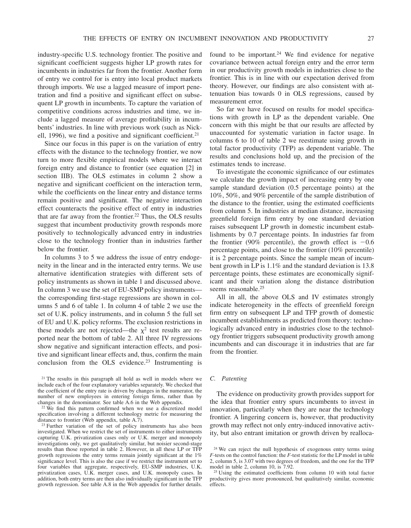industry-specific U.S. technology frontier. The positive and significant coefficient suggests higher LP growth rates for incumbents in industries far from the frontier. Another form of entry we control for is entry into local product markets through imports. We use a lagged measure of import penetration and find a positive and significant effect on subsequent LP growth in incumbents. To capture the variation of competitive conditions across industries and time, we include a lagged measure of average profitability in incumbents' industries. In line with previous work (such as Nickell, 1996), we find a positive and significant coefficient.<sup>21</sup>

Since our focus in this paper is on the variation of entry effects with the distance to the technology frontier, we now turn to more flexible empirical models where we interact foreign entry and distance to frontier (see equation [2] in section IIB). The OLS estimates in column 2 show a negative and significant coefficient on the interaction term, while the coefficients on the linear entry and distance terms remain positive and significant. The negative interaction effect counteracts the positive effect of entry in industries that are far away from the frontier. $22$  Thus, the OLS results suggest that incumbent productivity growth responds more positively to technologically advanced entry in industries close to the technology frontier than in industries farther below the frontier.

In columns 3 to 5 we address the issue of entry endogeneity in the linear and in the interacted entry terms. We use alternative identification strategies with different sets of policy instruments as shown in table 1 and discussed above. In column 3 we use the set of EU-SMP policy instruments the corresponding first-stage regressions are shown in columns 5 and 6 of table 1. In column 4 of table 2 we use the set of U.K. policy instruments, and in column 5 the full set of EU and U.K. policy reforms. The exclusion restrictions in these models are not rejected—the  $\chi^2$  test results are reported near the bottom of table 2. All three IV regressions show negative and significant interaction effects, and positive and significant linear effects and, thus, confirm the main conclusion from the OLS evidence.23 Instrumenting is

found to be important.<sup>24</sup> We find evidence for negative covariance between actual foreign entry and the error term in our productivity growth models in industries close to the frontier. This is in line with our expectation derived from theory. However, our findings are also consistent with attenuation bias towards 0 in OLS regressions, caused by measurement error.

So far we have focused on results for model specifications with growth in LP as the dependent variable. One concern with this might be that our results are affected by unaccounted for systematic variation in factor usage. In columns 6 to 10 of table 2 we reestimate using growth in total factor productivity (TFP) as dependent variable. The results and conclusions hold up, and the precision of the estimates tends to increase.

To investigate the economic significance of our estimates we calculate the growth impact of increasing entry by one sample standard deviation (0.5 percentage points) at the 10%, 50%, and 90% percentile of the sample distribution of the distance to the frontier, using the estimated coefficients from column 5. In industries at median distance, increasing greenfield foreign firm entry by one standard deviation raises subsequent LP growth in domestic incumbent establishments by 0.7 percentage points. In industries far from the frontier (90% percentile), the growth effect is  $-0.6$ percentage points, and close to the frontier (10% percentile) it is 2 percentage points. Since the sample mean of incumbent growth in LP is 1.1% and the standard deviation is 13.8 percentage points, these estimates are economically significant and their variation along the distance distribution seems reasonable.<sup>25</sup>

All in all, the above OLS and IV estimates strongly indicate heterogeneity in the effects of greenfield foreign firm entry on subsequent LP and TFP growth of domestic incumbent establishments as predicted from theory: technologically advanced entry in industries close to the technology frontier triggers subsequent productivity growth among incumbents and can discourage it in industries that are far from the frontier.

#### *C. Patenting*

The evidence on productivity growth provides support for the idea that frontier entry spurs incumbents to invest in innovation, particularly when they are near the technology frontier. A lingering concern is, however, that productivity growth may reflect not only entry-induced innovative activity, but also entrant imitation or growth driven by realloca-

<sup>&</sup>lt;sup>21</sup> The results in this paragraph all hold as well in models where we include each of the four explanatory variables separately. We checked that the coefficient of the entry rate is driven by changes in the numerator, the number of new employees in entering foreign firms, rather than by changes in the denominator. See table A.6 in the Web appendix.

 $22$  We find this pattern confirmed when we use a discretized model specification involving a different technology metric for measuring the distance to frontier (Web appendix, table A.7).

<sup>&</sup>lt;sup>23</sup> Further variation of the set of policy instruments has also been investigated. When we restrict the set of instruments to either instruments capturing U.K. privatization cases only or U.K. merger and monopoly investigations only, we get qualitatively similar, but noisier second-stage results than those reported in table 2. However, in all these LP or TFP growth regressions the entry terms remain jointly significant at the 1% significance level. This is also the case if we restrict the instrument set to four variables that aggregate, respectively, EU-SMP industries, U.K. privatization cases, U.K. merger cases, and U.K. monopoly cases. In addition, both entry terms are then also individually significant in the TFP growth regression. See table A.8 in the Web appendix for further details.

<sup>24</sup> We can reject the null hypothesis of exogenous entry terms using *F*-tests on the control function: the *F*-test statistic for the LP model in table 2, column 5, is 3.07 with two degrees of freedom, and the one for the TFP model in table 2, column 10, is 7.92.

<sup>&</sup>lt;sup>25</sup> Using the estimated coefficients from column 10 with total factor productivity gives more pronounced, but qualitatively similar, economic effects.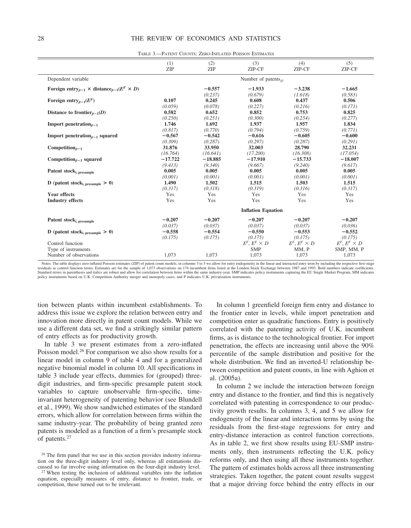|                                                                                    | (1)<br>ZIP       | (2)<br>ZIP            | (3)<br>ZIP-CF             | (4)<br>ZIP-CF          | (5)<br>ZIP-CF          |
|------------------------------------------------------------------------------------|------------------|-----------------------|---------------------------|------------------------|------------------------|
| Dependent variable                                                                 |                  |                       | Number of patents $_{ii}$ |                        |                        |
| Foreign entry <sub>it-1</sub> $\times$ distance <sub>it-1</sub> ( $E^F \times D$ ) |                  | $-0.557$              | $-1.933$                  | $-3.238$               | $-1.665$               |
|                                                                                    |                  | (0.237)               | (0.679)                   | (1.618)                | (0.583)                |
| Foreign entry <sub>it-1</sub> $(E^F)$                                              | 0.107<br>(0.059) | 0.245<br>(0.078)      | 0.608<br>(0.227)          | 0.437<br>(0.216)       | 0.506<br>(0.171)       |
| Distance to frontier $_{it-1}(D)$                                                  | 0.582            | 0.652                 | 0.852                     | 0.753                  | 0.825                  |
|                                                                                    | (0.250)          | (0.251)               | (0.300)                   | (0.254)                | (0.277)                |
| <b>Import penetration</b> <sub><math>it-1</math></sub>                             | 1.746            | 1.692                 | 1.937                     | 1.957                  | 1.834                  |
|                                                                                    | (0.817)          | (0.770)               | (0.794)                   | (0.759)                | (0.771)                |
| <b>Import penetration</b> <sub><math>i-1</math></sub> squared                      | $-0.567$         | $-0.542$              | $-0.616$                  | $-0.605$               | $-0.600$               |
|                                                                                    | (0.309)          | (0.287)               | (0.297)                   | (0.287)                | (0.291)                |
| $Competition_{it-1}$                                                               | 31.876           | 33.950                | 32.003                    | 28.790                 | 32.231                 |
|                                                                                    | (16.764)         | (16.641)              | (17.200)                  | (16.308)               | (17.054)               |
| Competition $_{jt-1}$ squared                                                      | $-17,722$        | $-18.885$             | $-17.910$                 | $-15.733$              | $-18.007$              |
|                                                                                    | (9.413)          | (9.340)               | (9.667)                   | (9.240)                | (9.617)                |
| Patent stock <sub>i. presample</sub>                                               | 0.005            | 0.005                 | 0.005                     | 0.005                  | 0.005                  |
|                                                                                    | (0.001)          | (0.001)               | (0.001)                   | (0.001)                | (0.001)                |
| D (patent stock <sub>i, presample</sub> $>$ 0)                                     | 1.490            | 1.502                 | 1.515                     | 1.503                  | 1.515                  |
| <b>Year effects</b>                                                                | (0.317)<br>Yes   | (0.318)<br><b>Yes</b> | (0.319)<br>Yes            | (0.316)<br>Yes         | (0.317)<br>Yes         |
| <b>Industry effects</b>                                                            | Yes              | Yes                   | Yes                       | Yes                    | Yes                    |
|                                                                                    |                  |                       |                           |                        |                        |
|                                                                                    |                  |                       | <b>Inflation Equation</b> |                        |                        |
| Patent stock <sub>i. presample</sub>                                               | $-0.207$         | $-0.207$              | $-0.207$                  | $-0.207$               | $-0.207$               |
|                                                                                    | (0.037)          | (0.037)               | (0.037)                   | (0.037)                | (0.036)                |
| D (patent stock <sub>i, presample</sub> $>$ 0)                                     | $-0.558$         | $-0.554$              | $-0.550$                  | $-0.553$               | $-0.552$               |
|                                                                                    | (0.175)          | (0.175)               | (0.175)                   | (0.175)                | (0.175)                |
| Control function                                                                   |                  |                       | $E^F, E^F \times D$       | $E^F$ , $E^F \times D$ | $E^F$ , $E^F \times D$ |
| Type of instruments                                                                |                  |                       | <b>SMP</b>                | MM, P                  | SMP, MM, P             |
| Number of observations                                                             | 1,073            | 1,073                 | 1,073                     | 1,073                  | 1,073                  |

TABLE 3.—PATENT COUNTS: ZERO-INFLATED POISSON ESTIMATES

Notes: The table displays zero-inflated Poisson estimates (ZIP) of patent count models; in columns 3 to 5 we allow for entry endogeneity in the linear and interacted entry term by including the respective first-stage residuals as control function terms. Estimates are for the sample of 1,073 observations on 174 incumbent firms listed at the London Stock Exchange between 1987 and 1993. Bold numbers indicate coefficients. Standard errors in parentheses and italics are robust and allow for correlation between firms within the same industry-year. SMP indicates policy instruments capturing the EU Single Market Program, MM indicates policy instruments based on U.K. Competition Authority merger and monopoly cases, and P indicates U.K. privatization instruments.

tion between plants within incumbent establishments. To address this issue we explore the relation between entry and innovation more directly in patent count models. While we use a different data set, we find a strikingly similar pattern of entry effects as for productivity growth.

In table 3 we present estimates from a zero-inflated Poisson model.<sup>26</sup> For comparison we also show results for a linear model in column 9 of table 4 and for a generalized negative binomial model in column 10. All specifications in table 3 include year effects, dummies for (grouped) threedigit industries, and firm-specific presample patent stock variables to capture unobservable firm-specific, timeinvariant heterogeneity of patenting behavior (see Blundell et al., 1999). We show sandwiched estimates of the standard errors, which allow for correlation between firms within the same industry-year. The probability of being granted zero patents is modeled as a function of a firm's presample stock of patents.27

In column 1 greenfield foreign firm entry and distance to the frontier enter in levels, while import penetration and competition enter as quadratic functions. Entry is positively correlated with the patenting activity of U.K. incumbent firms, as is distance to the technological frontier. For import penetration, the effects are increasing until above the 90% percentile of the sample distribution and positive for the whole distribution. We find an inverted-U relationship between competition and patent counts, in line with Aghion et al. (2005a).

In column 2 we include the interaction between foreign entry and distance to the frontier, and find this is negatively correlated with patenting in correspondence to our productivity growth results. In columns 3, 4, and 5 we allow for endogeneity of the linear and interaction terms by using the residuals from the first-stage regressions for entry and entry-distance interaction as control function corrections. As in table 2, we first show results using EU-SMP instruments only, then instruments reflecting the U.K. policy reforms only, and then using all these instruments together. The pattern of estimates holds across all three instrumenting strategies. Taken together, the patent count results suggest that a major driving force behind the entry effects in our

 $\equiv$ 

<sup>&</sup>lt;sup>26</sup> The firm panel that we use in this section provides industry information on the three-digit industry level only, whereas all estimations discussed so far involve using information on the four-digit industry level.

<sup>27</sup> When testing the inclusion of additional variables into the inflation equation, especially measures of entry, distance to frontier, trade, or competition, these turned out to be irrelevant.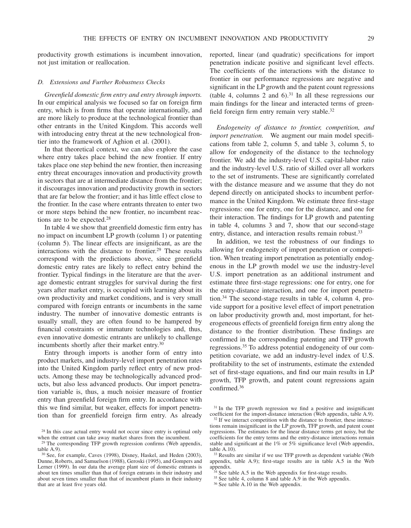productivity growth estimations is incumbent innovation, not just imitation or reallocation.

#### *D. Extensions and Further Robustness Checks*

*Greenfield domestic firm entry and entry through imports.* In our empirical analysis we focused so far on foreign firm entry, which is from firms that operate internationally, and are more likely to produce at the technological frontier than other entrants in the United Kingdom. This accords well with introducing entry threat at the new technological frontier into the framework of Aghion et al. (2001).

In that theoretical context, we can also explore the case where entry takes place behind the new frontier. If entry takes place one step behind the new frontier, then increasing entry threat encourages innovation and productivity growth in sectors that are at intermediate distance from the frontier; it discourages innovation and productivity growth in sectors that are far below the frontier; and it has little effect close to the frontier. In the case where entrants threaten to enter two or more steps behind the new frontier, no incumbent reactions are to be expected.28

In table 4 we show that greenfield domestic firm entry has no impact on incumbent LP growth (column 1) or patenting (column 5). The linear effects are insignificant, as are the interactions with the distance to frontier.29 These results correspond with the predictions above, since greenfield domestic entry rates are likely to reflect entry behind the frontier. Typical findings in the literature are that the average domestic entrant struggles for survival during the first years after market entry, is occupied with learning about its own productivity and market conditions, and is very small compared with foreign entrants or incumbents in the same industry. The number of innovative domestic entrants is usually small, they are often found to be hampered by financial constraints or immature technologies and, thus, even innovative domestic entrants are unlikely to challenge incumbents shortly after their market entry.30

Entry through imports is another form of entry into product markets, and industry-level import penetration rates into the United Kingdom partly reflect entry of new products. Among these may be technologically advanced products, but also less advanced products. Our import penetration variable is, thus, a much noisier measure of frontier entry than greenfield foreign firm entry. In accordance with this we find similar, but weaker, effects for import penetration than for greenfield foreign firm entry. As already reported, linear (and quadratic) specifications for import penetration indicate positive and significant level effects. The coefficients of the interactions with the distance to frontier in our performance regressions are negative and significant in the LP growth and the patent count regressions (table 4, columns 2 and  $6$ ).<sup>31</sup> In all these regressions our main findings for the linear and interacted terms of greenfield foreign firm entry remain very stable.32

*Endogeneity of distance to frontier, competition, and import penetration.* We augment our main model specifications from table 2, column 5, and table 3, column 5, to allow for endogeneity of the distance to the technology frontier. We add the industry-level U.S. capital-labor ratio and the industry-level U.S. ratio of skilled over all workers to the set of instruments. These are significantly correlated with the distance measure and we assume that they do not depend directly on anticipated shocks to incumbent performance in the United Kingdom. We estimate three first-stage regressions: one for entry, one for the distance, and one for their interaction. The findings for LP growth and patenting in table 4, columns 3 and 7, show that our second-stage entry, distance, and interaction results remain robust.<sup>33</sup>

In addition, we test the robustness of our findings to allowing for endogeneity of import penetration or competition. When treating import penetration as potentially endogenous in the LP growth model we use the industry-level U.S. import penetration as an additional instrument and estimate three first-stage regressions: one for entry, one for the entry-distance interaction, and one for import penetration.34 The second-stage results in table 4, column 4, provide support for a positive level effect of import penetration on labor productivity growth and, most important, for heterogeneous effects of greenfield foreign firm entry along the distance to the frontier distribution. These findings are confirmed in the corresponding patenting and TFP growth regressions.35 To address potential endogeneity of our competition covariate, we add an industry-level index of U.S. profitability to the set of instruments, estimate the extended set of first-stage equations, and find our main results in LP growth, TFP growth, and patent count regressions again confirmed.36

<sup>31</sup> In the TFP growth regression we find a positive and insignificant coefficient for the import-distance interaction (Web appendix, table A.9).

<sup>33</sup> Results are similar if we use TFP growth as dependent variable (Web appendix, table A.9); first-stage results are in table A.5 in the Web appendix.

<sup>35</sup> See table 4, column 8 and table A.9 in the Web appendix.

<sup>36</sup> See table A.10 in the Web appendix.

<sup>&</sup>lt;sup>28</sup> In this case actual entry would not occur since entry is optimal only when the entrant can take away market shares from the incumbent.

<sup>&</sup>lt;sup>29</sup> The corresponding TFP growth regression confirms (Web appendix, table A.9).

<sup>30</sup> See, for example, Caves (1998), Disney, Haskel, and Heden (2003), Dunne, Roberts, and Samuelson (1988), Geroski (1995), and Gompers and Lerner (1999). In our data the average plant size of domestic entrants is about ten times smaller than that of foreign entrants in their industry and about seven times smaller than that of incumbent plants in their industry that are at least five years old.

<sup>&</sup>lt;sup>32</sup> If we interact competition with the distance to frontier, these interactions remain insignificant in the LP growth, TFP growth, and patent count regressions. The estimates for the linear distance terms get noisy, but the coefficients for the entry terms and the entry-distance interactions remain stable and significant at the 1% or 5% significance level (Web appendix, table A.10).

See table A.5 in the Web appendix for first-stage results.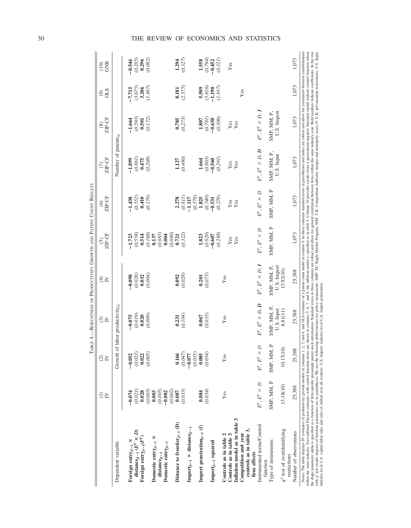|                                                                                                                                                                                                                                                                                                                                                                                                                                                                                                                                                                                                                                                           |                                                                                    | TEGYT               |                                      | expressive two contracts of the two contracts of the contracts of the contract of the contract of the contract of the contract of the contract of the contract of the contract of the contract of the contract of the contract |                               |                                        |                                                                                                                                                                                                                                                                                                                                                                                  |                                                           |                                   |                         |
|-----------------------------------------------------------------------------------------------------------------------------------------------------------------------------------------------------------------------------------------------------------------------------------------------------------------------------------------------------------------------------------------------------------------------------------------------------------------------------------------------------------------------------------------------------------------------------------------------------------------------------------------------------------|------------------------------------------------------------------------------------|---------------------|--------------------------------------|--------------------------------------------------------------------------------------------------------------------------------------------------------------------------------------------------------------------------------|-------------------------------|----------------------------------------|----------------------------------------------------------------------------------------------------------------------------------------------------------------------------------------------------------------------------------------------------------------------------------------------------------------------------------------------------------------------------------|-----------------------------------------------------------|-----------------------------------|-------------------------|
|                                                                                                                                                                                                                                                                                                                                                                                                                                                                                                                                                                                                                                                           | $\geq$                                                                             | ⊙≥                  | ⊙≥                                   | $\widehat{\pm}$                                                                                                                                                                                                                | ZIP-CF<br>$\widehat{c}$       | ZIP-CF<br>$\odot$                      | ZIP-CF<br>$\odot$                                                                                                                                                                                                                                                                                                                                                                | ZIP-CF<br>$\circledast$                                   | STO<br>ම                          | GNB<br>(10)             |
| Dependent variable                                                                                                                                                                                                                                                                                                                                                                                                                                                                                                                                                                                                                                        |                                                                                    |                     | Growth of labor productivity $_{ii}$ |                                                                                                                                                                                                                                |                               |                                        | Number of patents $_{iii}$                                                                                                                                                                                                                                                                                                                                                       |                                                           |                                   |                         |
| Foreign entry $_{jt-1}$ $\times$                                                                                                                                                                                                                                                                                                                                                                                                                                                                                                                                                                                                                          | $-0.074$                                                                           | $-0.052$            | $-0.075$                             | $-0.098$                                                                                                                                                                                                                       | $-1.723$                      | $-1.438$                               | $-1.899$                                                                                                                                                                                                                                                                                                                                                                         | $-1.664$                                                  | $-7.715$                          | $-0.546$                |
| distance $_{ji-1}$ ( $E^F \times D$ )<br>Foreign entry $_{ji-1}(F^F)$                                                                                                                                                                                                                                                                                                                                                                                                                                                                                                                                                                                     | (0.02I)<br>0.028                                                                   | (0.023)<br>0.022    | (0.019)<br>0.020                     | (0.026)<br>0.032                                                                                                                                                                                                               | (0.558)<br>0.514              | (0.552)<br>0.410                       | (0.861)<br>0.475                                                                                                                                                                                                                                                                                                                                                                 | (0.593)<br>0.501                                          | $(3.675)$<br>3.206<br>(1.497)     | $\frac{(0.285)}{0.296}$ |
|                                                                                                                                                                                                                                                                                                                                                                                                                                                                                                                                                                                                                                                           | (0.003)                                                                            | (0.005)             | (0.009)                              | (0.004)                                                                                                                                                                                                                        | (0.168)                       | (0.170)                                | (0.208)                                                                                                                                                                                                                                                                                                                                                                          | (0.172)                                                   |                                   | (0.082)                 |
| Domestic entry <sub><math>n-1</math></sub> $\times$                                                                                                                                                                                                                                                                                                                                                                                                                                                                                                                                                                                                       | 0.003                                                                              |                     |                                      |                                                                                                                                                                                                                                | 0.137                         |                                        |                                                                                                                                                                                                                                                                                                                                                                                  |                                                           |                                   |                         |
| $distance_{it-1}$                                                                                                                                                                                                                                                                                                                                                                                                                                                                                                                                                                                                                                         | (0.005)<br>$-0.002$                                                                |                     |                                      |                                                                                                                                                                                                                                |                               |                                        |                                                                                                                                                                                                                                                                                                                                                                                  |                                                           |                                   |                         |
| Domestic entry $_{jt-1}$                                                                                                                                                                                                                                                                                                                                                                                                                                                                                                                                                                                                                                  | (0.002)                                                                            |                     |                                      |                                                                                                                                                                                                                                | $(0.085)$<br>0.004<br>(0.040) |                                        |                                                                                                                                                                                                                                                                                                                                                                                  |                                                           |                                   |                         |
| Distance to frontier <sub><math>n-1</math></sub> (D)                                                                                                                                                                                                                                                                                                                                                                                                                                                                                                                                                                                                      | 0.087                                                                              | 0.166               | 0.231                                | 0.092                                                                                                                                                                                                                          | 0.721                         | 2.278                                  | 1.127                                                                                                                                                                                                                                                                                                                                                                            | 0.785                                                     | 8.181                             | 1.294                   |
|                                                                                                                                                                                                                                                                                                                                                                                                                                                                                                                                                                                                                                                           | (0.033)                                                                            | (0.047)             | (0.104)                              | (0.028)                                                                                                                                                                                                                        | (0.322)                       | $(0.811)$                              | (0.480)                                                                                                                                                                                                                                                                                                                                                                          | (0.273)                                                   | (2.575)                           | (0.327)                 |
| Import <sub>it-1</sub> $\times$ distance <sub>jt-1</sub>                                                                                                                                                                                                                                                                                                                                                                                                                                                                                                                                                                                                  |                                                                                    | (0.035)<br>$-0.077$ |                                      |                                                                                                                                                                                                                                |                               | (0.576)<br>$-1.117$                    |                                                                                                                                                                                                                                                                                                                                                                                  |                                                           |                                   |                         |
| Import penetration <sub><math>i-1</math></sub> ( <i>I</i> )                                                                                                                                                                                                                                                                                                                                                                                                                                                                                                                                                                                               | 0.084                                                                              | 0.085               | 0.067                                | 0.201                                                                                                                                                                                                                          | 1.823                         | 1.825                                  | 1.664                                                                                                                                                                                                                                                                                                                                                                            |                                                           |                                   |                         |
|                                                                                                                                                                                                                                                                                                                                                                                                                                                                                                                                                                                                                                                           | (0.034)                                                                            | (0.034)             | (0.033)                              | (0.073)                                                                                                                                                                                                                        | $(\mathit{0.820})$            | (0.740)                                | (0.803)                                                                                                                                                                                                                                                                                                                                                                          | $\begin{array}{c} 1.807 \\ (0.781) \\ -0.650 \end{array}$ | $\frac{5.509}{(5.816)}$<br>-1.190 | $1.558$<br>(0.794)      |
| $\text{Import}_{jt-1}$ squared                                                                                                                                                                                                                                                                                                                                                                                                                                                                                                                                                                                                                            |                                                                                    |                     |                                      |                                                                                                                                                                                                                                | $-0.607$                      | $-0.531$                               | $-0.560$                                                                                                                                                                                                                                                                                                                                                                         |                                                           |                                   | $-0.452$                |
|                                                                                                                                                                                                                                                                                                                                                                                                                                                                                                                                                                                                                                                           |                                                                                    |                     |                                      |                                                                                                                                                                                                                                | (0.288)                       | (0.276)                                | (0.29I)                                                                                                                                                                                                                                                                                                                                                                          | (0.306)                                                   | (1.937)                           | (0.321)                 |
| Controls as in table 2                                                                                                                                                                                                                                                                                                                                                                                                                                                                                                                                                                                                                                    | Yes                                                                                | Yes                 | Yes                                  | Yes                                                                                                                                                                                                                            |                               |                                        |                                                                                                                                                                                                                                                                                                                                                                                  |                                                           |                                   |                         |
| Controls as in table 3                                                                                                                                                                                                                                                                                                                                                                                                                                                                                                                                                                                                                                    |                                                                                    |                     |                                      |                                                                                                                                                                                                                                | Yes                           | Yes                                    | Yes                                                                                                                                                                                                                                                                                                                                                                              | Yes                                                       |                                   | Yes                     |
| Inflation model as in table 3                                                                                                                                                                                                                                                                                                                                                                                                                                                                                                                                                                                                                             |                                                                                    |                     |                                      |                                                                                                                                                                                                                                | Yes                           | Yes                                    | Yes                                                                                                                                                                                                                                                                                                                                                                              | Yes                                                       |                                   |                         |
| controls as in table 3.<br>Competition and year                                                                                                                                                                                                                                                                                                                                                                                                                                                                                                                                                                                                           |                                                                                    |                     |                                      |                                                                                                                                                                                                                                |                               |                                        |                                                                                                                                                                                                                                                                                                                                                                                  |                                                           | Yes                               |                         |
| firm effects                                                                                                                                                                                                                                                                                                                                                                                                                                                                                                                                                                                                                                              |                                                                                    |                     |                                      |                                                                                                                                                                                                                                |                               |                                        |                                                                                                                                                                                                                                                                                                                                                                                  |                                                           |                                   |                         |
| Instrumented terms/Control                                                                                                                                                                                                                                                                                                                                                                                                                                                                                                                                                                                                                                | $E^{\scriptscriptstyle\mathsf{F}},\, E^{\scriptscriptstyle\mathsf{F}}\,\times\, D$ | $E^F, E^F \times D$ | $E^F, E^F \times D, D$               | $E^r$ , $E^r \times D$ , I                                                                                                                                                                                                     | $E^F,\, E^F\times D$          | $E^{\text{F}},\, E^{\text{F}}\times D$ | $E^r$ , $E^r \times D$ , D                                                                                                                                                                                                                                                                                                                                                       | $E^r, E^r \times D, I$                                    |                                   |                         |
| function                                                                                                                                                                                                                                                                                                                                                                                                                                                                                                                                                                                                                                                  |                                                                                    |                     |                                      |                                                                                                                                                                                                                                |                               |                                        |                                                                                                                                                                                                                                                                                                                                                                                  |                                                           |                                   |                         |
| Type of instruments                                                                                                                                                                                                                                                                                                                                                                                                                                                                                                                                                                                                                                       | SMP, MM, P                                                                         | SMP, MM, P          | SMP, MM, P,<br>U.S. Input            | SMP, MM, P,<br>U.S. Import                                                                                                                                                                                                     | SMP, MM, P                    | SMP, MM, P                             | SMP, MM, P,<br>U.S. Input                                                                                                                                                                                                                                                                                                                                                        | U.S. Import<br>SMP, MM, P,                                |                                   |                         |
| $\chi^2$ test of overidentifying                                                                                                                                                                                                                                                                                                                                                                                                                                                                                                                                                                                                                          | 13.18(10)                                                                          | 10.17(10)           | 8.81(11)                             | 13.92(10)                                                                                                                                                                                                                      |                               |                                        |                                                                                                                                                                                                                                                                                                                                                                                  |                                                           |                                   |                         |
| restrictions                                                                                                                                                                                                                                                                                                                                                                                                                                                                                                                                                                                                                                              |                                                                                    |                     |                                      |                                                                                                                                                                                                                                |                               |                                        |                                                                                                                                                                                                                                                                                                                                                                                  |                                                           |                                   |                         |
| Number of observations                                                                                                                                                                                                                                                                                                                                                                                                                                                                                                                                                                                                                                    | 25,388                                                                             | 25,388              | 25,388                               | 25,388                                                                                                                                                                                                                         | 1,073                         | 1,073                                  | 1,073                                                                                                                                                                                                                                                                                                                                                                            | 1,073                                                     | 1,073                             | 1,073                   |
| the shape parameter alpha is specified as a function of firm-specific presample patent stock information. Standard errors in these columns are robust and allow for general correlation between firms within the same industry<br>with $\chi^2$ est results degrees of freedom parameters are in parentheses. We use the following abbreviations for policy instruments: SMP: EU Single Market Program; MM: U.K. Competition Authority merger and monopoly cases;<br>Notes: The table displays IV estimates of productivity growth models in columns 1, 2, 3<br>within the same industry. Zero-inflated Poisson estimates with control function terms are |                                                                                    |                     |                                      |                                                                                                                                                                                                                                |                               |                                        | , and 4, and OLS estimates of a patent count model in column 9. In these columns standard errors in parentheses and italics are robust and allow for correlation between establishments<br>shown in columns 5, 6, 7, and 8; the inflation model is specified as in table 3. Column 10 provides results from a generalized negative binomial model without control function where |                                                           |                                   |                         |
| ndustry-level U.S. capital-labor ratio and ratio of skilled over all workers; U.S. Import: industry-level U.S. import penetration                                                                                                                                                                                                                                                                                                                                                                                                                                                                                                                         |                                                                                    |                     |                                      |                                                                                                                                                                                                                                |                               |                                        |                                                                                                                                                                                                                                                                                                                                                                                  |                                                           |                                   |                         |

TABLE 4.-ROBUSTNESS OF PRODUCTIVITY GROWTH AND PATENT COUNT RESULTS TABLE 4.—ROBUSTNESS OF PRODUCTIVITY GROWTH AND PATENT COUNT RESULTS

### 30 THE REVIEW OF ECONOMICS AND STATISTICS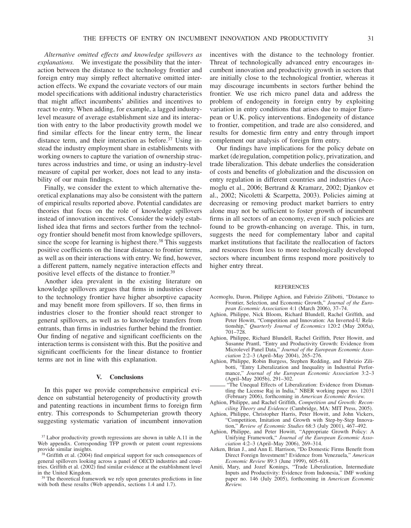*Alternative omitted effects and knowledge spillovers as explanations.* We investigate the possibility that the interaction between the distance to the technology frontier and foreign entry may simply reflect alternative omitted interaction effects. We expand the covariate vectors of our main model specifications with additional industry characteristics that might affect incumbents' abilities and incentives to react to entry. When adding, for example, a lagged industrylevel measure of average establishment size and its interaction with entry to the labor productivity growth model we find similar effects for the linear entry term, the linear distance term, and their interaction as before.<sup>37</sup> Using instead the industry employment share in establishments with working owners to capture the variation of ownership structures across industries and time, or using an industry-level measure of capital per worker, does not lead to any instability of our main findings.

Finally, we consider the extent to which alternative theoretical explanations may also be consistent with the pattern of empirical results reported above. Potential candidates are theories that focus on the role of knowledge spillovers instead of innovation incentives. Consider the widely established idea that firms and sectors further from the technology frontier should benefit most from knowledge spillovers, since the scope for learning is highest there.<sup>38</sup> This suggests positive coefficients on the linear distance to frontier terms, as well as on their interactions with entry. We find, however, a different pattern, namely negative interaction effects and positive level effects of the distance to frontier.39

Another idea prevalent in the existing literature on knowledge spillovers argues that firms in industries closer to the technology frontier have higher absorptive capacity and may benefit more from spillovers. If so, then firms in industries closer to the frontier should react stronger to general spillovers, as well as to knowledge transfers from entrants, than firms in industries further behind the frontier. Our finding of negative and significant coefficients on the interaction terms is consistent with this. But the positive and significant coefficients for the linear distance to frontier terms are not in line with this explanation.

#### **V. Conclusions**

In this paper we provide comprehensive empirical evidence on substantial heterogeneity of productivity growth and patenting reactions in incumbent firms to foreign firm entry. This corresponds to Schumpeterian growth theory suggesting systematic variation of incumbent innovation incentives with the distance to the technology frontier. Threat of technologically advanced entry encourages incumbent innovation and productivity growth in sectors that are initially close to the technological frontier, whereas it may discourage incumbents in sectors further behind the frontier. We use rich micro panel data and address the problem of endogeneity in foreign entry by exploiting variation in entry conditions that arises due to major European or U.K. policy interventions. Endogeneity of distance to frontier, competition, and trade are also considered, and results for domestic firm entry and entry through import complement our analysis of foreign firm entry.

Our findings have implications for the policy debate on market (de)regulation, competition policy, privatization, and trade liberalization. This debate underlies the consideration of costs and benefits of globalization and the discussion on entry regulation in different countries and industries (Acemoglu et al., 2006; Bertrand & Kramarz, 2002; Djankov et al., 2002; Nicoletti & Scarpetta, 2003). Policies aiming at decreasing or removing product market barriers to entry alone may not be sufficient to foster growth of incumbent firms in all sectors of an economy, even if such policies are found to be growth-enhancing on average. This, in turn, suggests the need for complementary labor and capital market institutions that facilitate the reallocation of factors and resources from less to more technologically developed sectors where incumbent firms respond more positively to higher entry threat.

#### REFERENCES

- Acemoglu, Daron, Philippe Aghion, and Fabrizio Zilibotti, "Distance to Frontier, Selection, and Economic Growth," *Journal of the European Economic Association* 4:1 (March 2006), 37–74.
- Aghion, Philippe, Nick Bloom, Richard Blundell, Rachel Griffith, and Peter Howitt, "Competition and Innovation: An Inverted-U Relationship," *Quarterly Journal of Economics* 120:2 (May 2005a), 701–728.
- Aghion, Philippe, Richard Blundell, Rachel Griffith, Peter Howitt, and Susanne Prantl, "Entry and Productivity Growth: Evidence from Microlevel Panel Data," *Journal of the European Economic Association* 2:2–3 (April–May 2004), 265–276.
- Aghion, Philippe, Robin Burgess, Stephen Redding, and Fabrizio Zilibotti, "Entry Liberalization and Inequality in Industrial Performance," *Journal of the European Economic Association* 3:2–3 (April–May 2005b), 291–302.
- "The Unequal Effects of Liberalization: Evidence from Dismantling the License Raj in India," NBER working paper no. 12031 (February 2006), forthcoming in *American Economic Review.*
- Aghion, Philippe, and Rachel Griffith, *Competition and Growth: Reconciling Theory and Evidence* (Cambridge, MA: MIT Press, 2005).
- Aghion, Philippe, Christopher Harris, Peter Howitt, and John Vickers, "Competition, Imitation and Growth with Step-by-Step Innovation," *Review of Economic Studies* 68:3 (July 2001), 467–492.
- Aghion, Philippe, and Peter Howitt, "Appropriate Growth Policy: A Unifying Framework," *Journal of the European Economic Association* 4:2–3 (April–May 2006), 269–314.
- Aitken, Brian J., and Ann E. Harrison, "Do Domestic Firms Benefit from Direct Foreign Investment? Evidence from Venezuela," *American Economic Review* 89:3 (June 1999), 605–618.
- Amiti, Mary, and Jozef Konings, "Trade Liberalization, Intermediate Inputs and Productivity: Evidence from Indonesia," IMF working paper no. 146 (July 2005), forthcoming in *American Economic Review.*

<sup>&</sup>lt;sup>37</sup> Labor productivity growth regressions are shown in table A.11 in the Web appendix. Corresponding TFP growth or patent count regressions provide similar insights.

<sup>38</sup> Griffith et al. (2004) find empirical support for such consequences of general spillovers looking across a panel of OECD industries and countries. Griffith et al. (2002) find similar evidence at the establishment level in the United Kingdom.

<sup>&</sup>lt;sup>39</sup> The theoretical framework we rely upon generates predictions in line with both these results (Web appendix, sections 1.4 and 1.7).